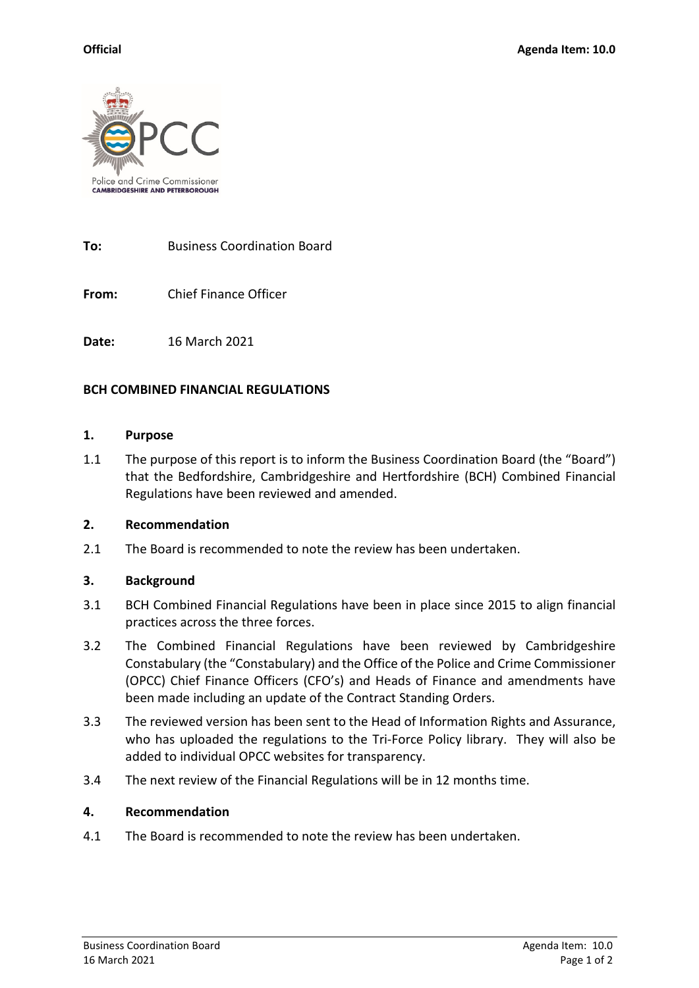

**To:** Business Coordination Board

**From:** Chief Finance Officer

**Date:** 16 March 2021

## **BCH COMBINED FINANCIAL REGULATIONS**

### **1. Purpose**

1.1 The purpose of this report is to inform the Business Coordination Board (the "Board") that the Bedfordshire, Cambridgeshire and Hertfordshire (BCH) Combined Financial Regulations have been reviewed and amended.

### **2. Recommendation**

2.1 The Board is recommended to note the review has been undertaken.

# **3. Background**

- 3.1 BCH Combined Financial Regulations have been in place since 2015 to align financial practices across the three forces.
- 3.2 The Combined Financial Regulations have been reviewed by Cambridgeshire Constabulary (the "Constabulary) and the Office of the Police and Crime Commissioner (OPCC) Chief Finance Officers (CFO's) and Heads of Finance and amendments have been made including an update of the Contract Standing Orders.
- 3.3 The reviewed version has been sent to the Head of Information Rights and Assurance, who has uploaded the regulations to the Tri-Force Policy library. They will also be added to individual OPCC websites for transparency.
- 3.4 The next review of the Financial Regulations will be in 12 months time.

### **4. Recommendation**

4.1 The Board is recommended to note the review has been undertaken.